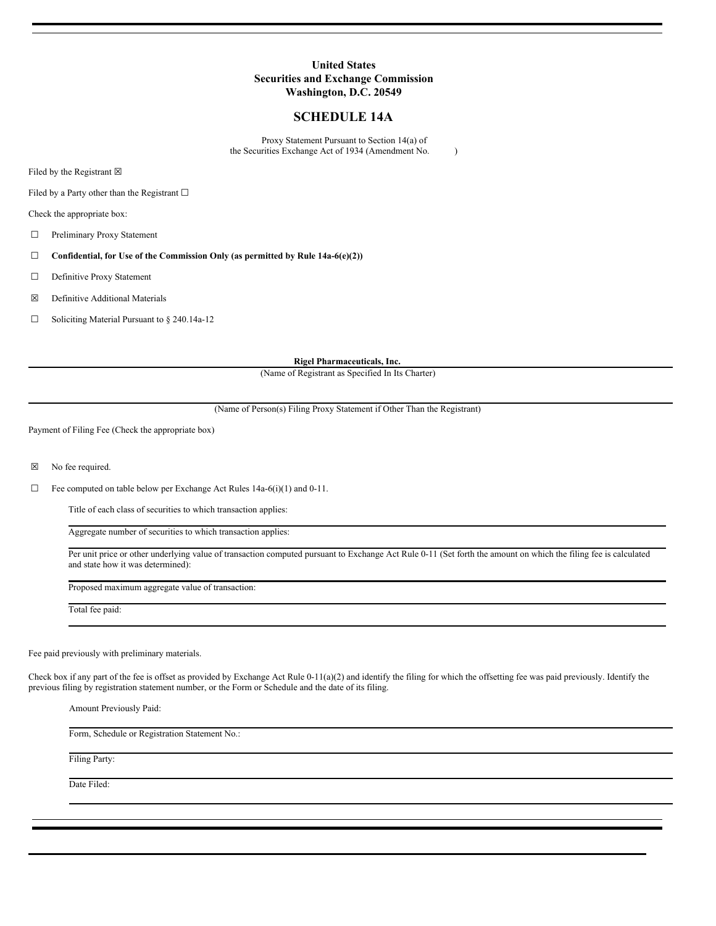#### **United States Securities and Exchange Commission Washington, D.C. 20549**

#### **SCHEDULE 14A**

Proxy Statement Pursuant to Section 14(a) of the Securities Exchange Act of 1934 (Amendment No. )

Filed by the Registrant  $\boxtimes$ 

Filed by a Party other than the Registrant  $\Box$ 

Check the appropriate box:

☐ Preliminary Proxy Statement

- ☐ **Confidential, for Use of the Commission Only (as permitted by Rule 14a-6(e)(2))**
- ☐ Definitive Proxy Statement
- ☒ Definitive Additional Materials
- ☐ Soliciting Material Pursuant to § 240.14a-12

**Rigel Pharmaceuticals, Inc.**

(Name of Registrant as Specified In Its Charter)

(Name of Person(s) Filing Proxy Statement if Other Than the Registrant)

Payment of Filing Fee (Check the appropriate box)

☒ No fee required.

 $\Box$  Fee computed on table below per Exchange Act Rules 14a-6(i)(1) and 0-11.

Title of each class of securities to which transaction applies:

Aggregate number of securities to which transaction applies:

Per unit price or other underlying value of transaction computed pursuant to Exchange Act Rule 0-11 (Set forth the amount on which the filing fee is calculated and state how it was determined):

Proposed maximum aggregate value of transaction:

Total fee paid:

Fee paid previously with preliminary materials.

Check box if any part of the fee is offset as provided by Exchange Act Rule 0-11(a)(2) and identify the filing for which the offsetting fee was paid previously. Identify the previous filing by registration statement number, or the Form or Schedule and the date of its filing.

Amount Previously Paid: Form, Schedule or Registration Statement No.: Filing Party: Date Filed: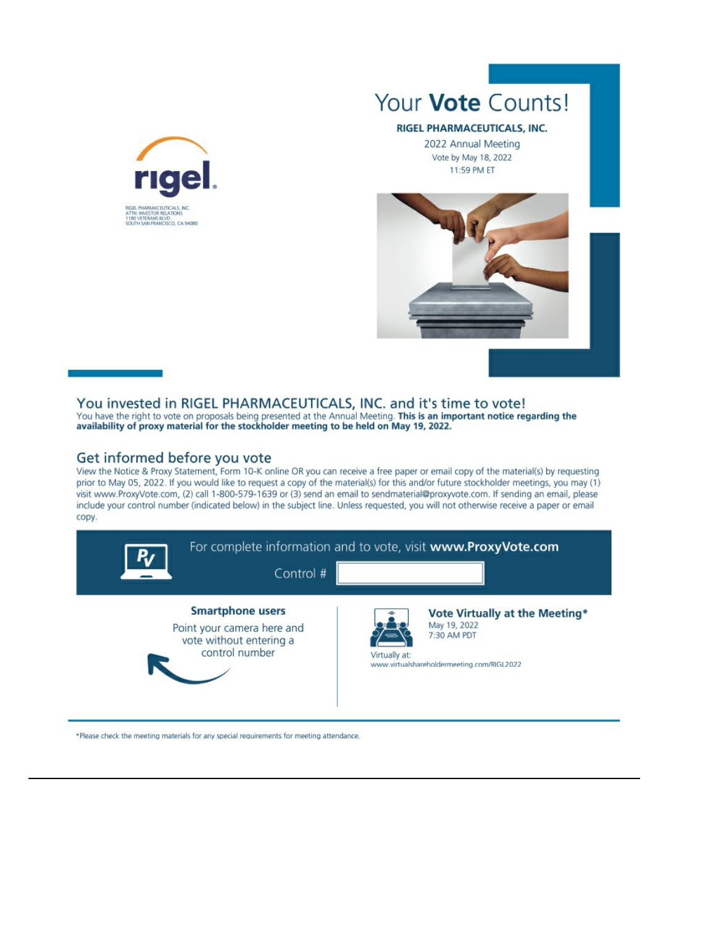

# Your **Vote** Counts!

#### RIGEL PHARMACEUTICALS, INC.

2022 Annual Meeting Vote by May 18, 2022 11:59 PM ET



## You invested in RIGEL PHARMACEUTICALS, INC. and it's time to vote!

You have the right to vote on proposals being presented at the Annual Meeting. This is an important notice regarding the availability of proxy material for the stockholder meeting to be held on May 19, 2022.

### Get informed before you vote

View the Notice & Proxy Statement, Form 10-K online OR you can receive a free paper or email copy of the material(s) by requesting prior to May 05, 2022. If you would like to request a copy of the material(s) for this and/or future stockholder meetings, you may (1) visit www.ProxyVote.com, (2) call 1-800-579-1639 or (3) send an email to sendmaterial@proxyvote.com. If sending an email, please include your control number (indicated below) in the subject line. Unless requested, you will not otherwise receive a paper or email copy.



\*Please check the meeting materials for any special requirements for meeting attendance.